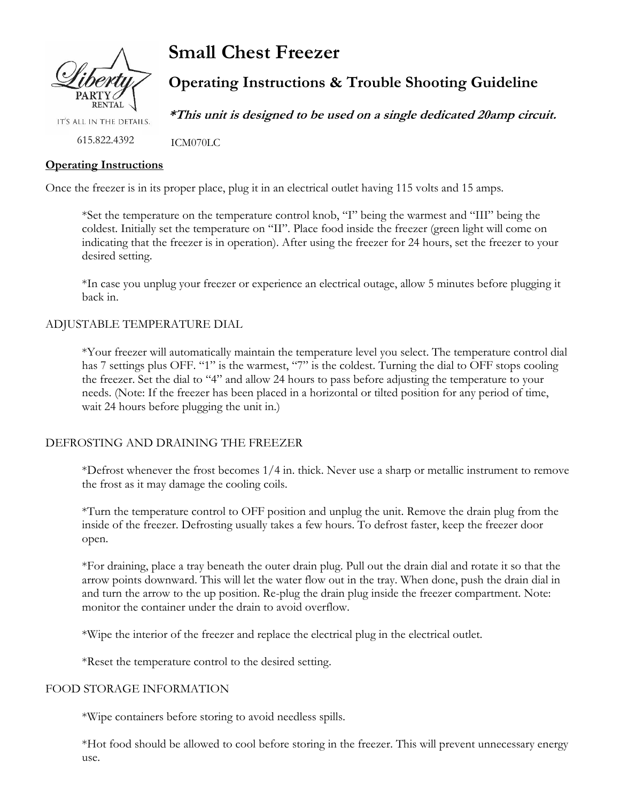

**Small Chest Freezer**

ICM070LC

# **Operating Instructions & Trouble Shooting Guideline**

**\*This unit is designed to be used on a single dedicated 20amp circuit.**

IT'S ALL IN THE DETAILS.

615.822.4392

## **Operating Instructions**

Once the freezer is in its proper place, plug it in an electrical outlet having 115 volts and 15 amps.

\*Set the temperature on the temperature control knob, "I" being the warmest and "III" being the coldest. Initially set the temperature on "II". Place food inside the freezer (green light will come on indicating that the freezer is in operation). After using the freezer for 24 hours, set the freezer to your desired setting.

\*In case you unplug your freezer or experience an electrical outage, allow 5 minutes before plugging it back in.

## ADJUSTABLE TEMPERATURE DIAL

\*Your freezer will automatically maintain the temperature level you select. The temperature control dial has 7 settings plus OFF. "1" is the warmest, "7" is the coldest. Turning the dial to OFF stops cooling the freezer. Set the dial to "4" and allow 24 hours to pass before adjusting the temperature to your needs. (Note: If the freezer has been placed in a horizontal or tilted position for any period of time, wait 24 hours before plugging the unit in.)

# DEFROSTING AND DRAINING THE FREEZER

\*Defrost whenever the frost becomes 1/4 in. thick. Never use a sharp or metallic instrument to remove the frost as it may damage the cooling coils.

\*Turn the temperature control to OFF position and unplug the unit. Remove the drain plug from the inside of the freezer. Defrosting usually takes a few hours. To defrost faster, keep the freezer door open.

\*For draining, place a tray beneath the outer drain plug. Pull out the drain dial and rotate it so that the arrow points downward. This will let the water flow out in the tray. When done, push the drain dial in and turn the arrow to the up position. Re-plug the drain plug inside the freezer compartment. Note: monitor the container under the drain to avoid overflow.

\*Wipe the interior of the freezer and replace the electrical plug in the electrical outlet.

\*Reset the temperature control to the desired setting.

## FOOD STORAGE INFORMATION

\*Wipe containers before storing to avoid needless spills.

\*Hot food should be allowed to cool before storing in the freezer. This will prevent unnecessary energy use.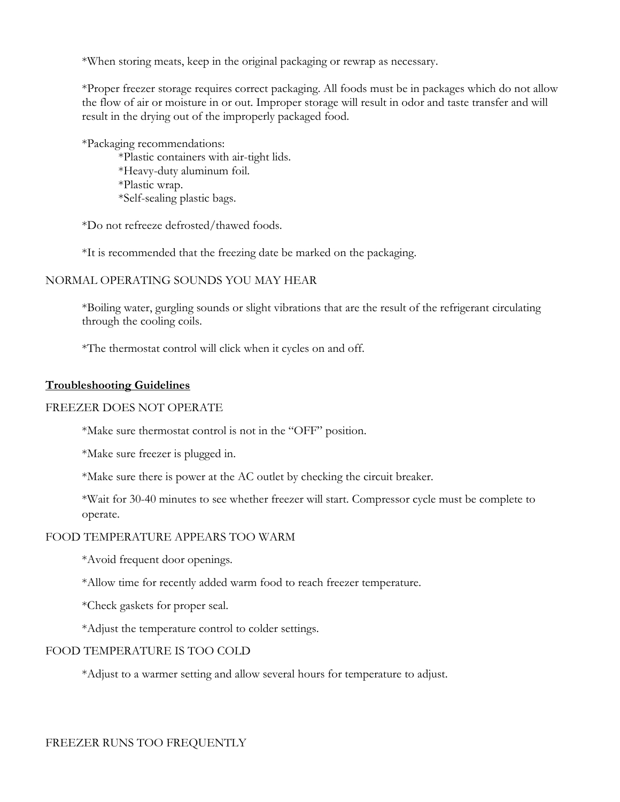\*When storing meats, keep in the original packaging or rewrap as necessary.

\*Proper freezer storage requires correct packaging. All foods must be in packages which do not allow the flow of air or moisture in or out. Improper storage will result in odor and taste transfer and will result in the drying out of the improperly packaged food.

\*Packaging recommendations: \*Plastic containers with air-tight lids. \*Heavy-duty aluminum foil. \*Plastic wrap. \*Self-sealing plastic bags.

\*Do not refreeze defrosted/thawed foods.

\*It is recommended that the freezing date be marked on the packaging.

#### NORMAL OPERATING SOUNDS YOU MAY HEAR

\*Boiling water, gurgling sounds or slight vibrations that are the result of the refrigerant circulating through the cooling coils.

\*The thermostat control will click when it cycles on and off.

#### **Troubleshooting Guidelines**

#### FREEZER DOES NOT OPERATE

\*Make sure thermostat control is not in the "OFF" position.

\*Make sure freezer is plugged in.

\*Make sure there is power at the AC outlet by checking the circuit breaker.

\*Wait for 30-40 minutes to see whether freezer will start. Compressor cycle must be complete to operate.

#### FOOD TEMPERATURE APPEARS TOO WARM

\*Avoid frequent door openings.

\*Allow time for recently added warm food to reach freezer temperature.

\*Check gaskets for proper seal.

\*Adjust the temperature control to colder settings.

## FOOD TEMPERATURE IS TOO COLD

\*Adjust to a warmer setting and allow several hours for temperature to adjust.

FREEZER RUNS TOO FREQUENTLY